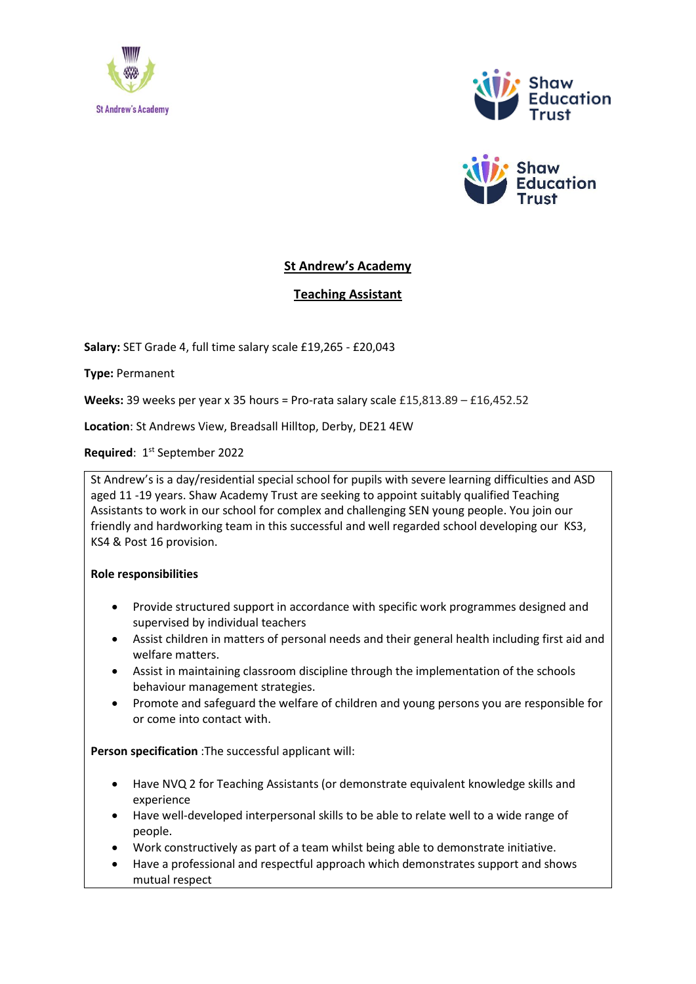





## **St Andrew's Academy**

**Teaching Assistant**

**Salary:** SET Grade 4, full time salary scale £19,265 - £20,043

**Type:** Permanent

**Weeks:** 39 weeks per year x 35 hours = Pro-rata salary scale £15,813.89 – £16,452.52

**Location**: St Andrews View, Breadsall Hilltop, Derby, DE21 4EW

Required: 1<sup>st</sup> September 2022

St Andrew's is a day/residential special school for pupils with severe learning difficulties and ASD aged 11 -19 years. Shaw Academy Trust are seeking to appoint suitably qualified Teaching Assistants to work in our school for complex and challenging SEN young people. You join our friendly and hardworking team in this successful and well regarded school developing our KS3, KS4 & Post 16 provision.

## **Role responsibilities**

- Provide structured support in accordance with specific work programmes designed and supervised by individual teachers
- Assist children in matters of personal needs and their general health including first aid and welfare matters.
- Assist in maintaining classroom discipline through the implementation of the schools behaviour management strategies.
- Promote and safeguard the welfare of children and young persons you are responsible for or come into contact with.

**Person specification** :The successful applicant will:

- Have NVQ 2 for Teaching Assistants (or demonstrate equivalent knowledge skills and experience
- Have well-developed interpersonal skills to be able to relate well to a wide range of people.
- Work constructively as part of a team whilst being able to demonstrate initiative.
- Have a professional and respectful approach which demonstrates support and shows mutual respect